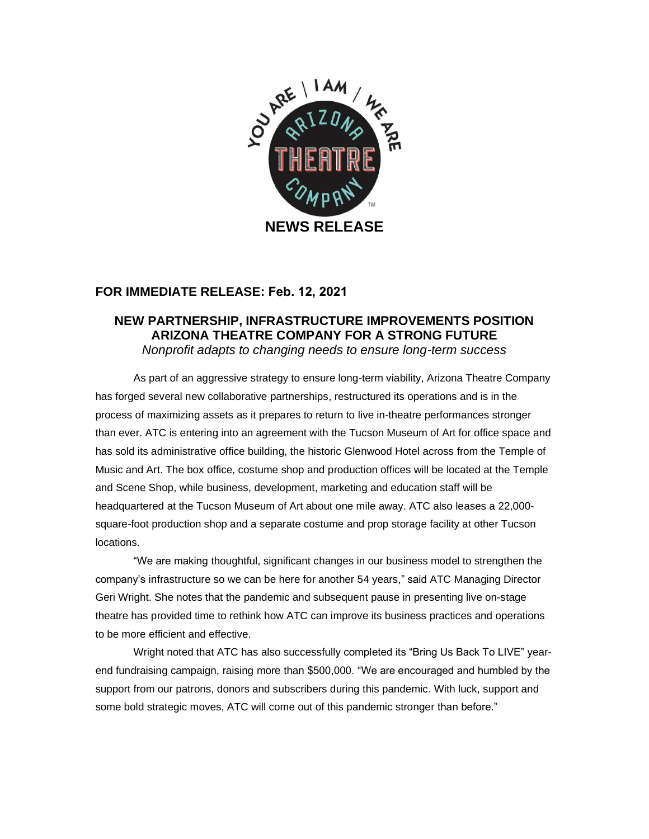

## **FOR IMMEDIATE RELEASE: Feb. 12, 2021**

## **NEW PARTNERSHIP, INFRASTRUCTURE IMPROVEMENTS POSITION ARIZONA THEATRE COMPANY FOR A STRONG FUTURE**

*Nonprofit adapts to changing needs to ensure long-term success* 

As part of an aggressive strategy to ensure long-term viability, Arizona Theatre Company has forged several new collaborative partnerships, restructured its operations and is in the process of maximizing assets as it prepares to return to live in-theatre performances stronger than ever. ATC is entering into an agreement with the Tucson Museum of Art for office space and has sold its administrative office building, the historic Glenwood Hotel across from the Temple of Music and Art. The box office, costume shop and production offices will be located at the Temple and Scene Shop, while business, development, marketing and education staff will be headquartered at the Tucson Museum of Art about one mile away. ATC also leases a 22,000 square-foot production shop and a separate costume and prop storage facility at other Tucson locations.

"We are making thoughtful, significant changes in our business model to strengthen the company's infrastructure so we can be here for another 54 years," said ATC Managing Director Geri Wright. She notes that the pandemic and subsequent pause in presenting live on-stage theatre has provided time to rethink how ATC can improve its business practices and operations to be more efficient and effective.

Wright noted that ATC has also successfully completed its "Bring Us Back To LIVE" yearend fundraising campaign, raising more than \$500,000. "We are encouraged and humbled by the support from our patrons, donors and subscribers during this pandemic. With luck, support and some bold strategic moves, ATC will come out of this pandemic stronger than before."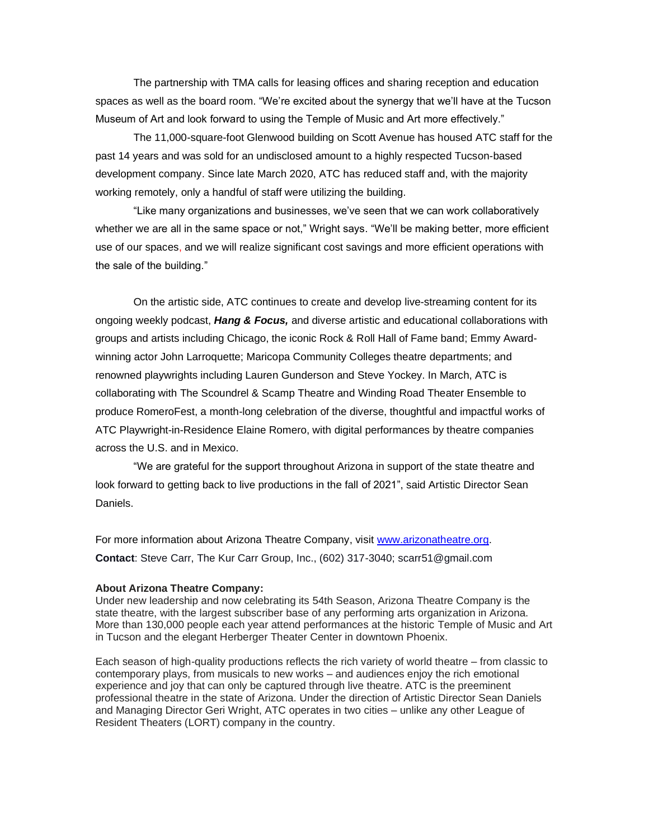The partnership with TMA calls for leasing offices and sharing reception and education spaces as well as the board room. "We're excited about the synergy that we'll have at the Tucson Museum of Art and look forward to using the Temple of Music and Art more effectively."

The 11,000-square-foot Glenwood building on Scott Avenue has housed ATC staff for the past 14 years and was sold for an undisclosed amount to a highly respected Tucson-based development company. Since late March 2020, ATC has reduced staff and, with the majority working remotely, only a handful of staff were utilizing the building.

"Like many organizations and businesses, we've seen that we can work collaboratively whether we are all in the same space or not," Wright says. "We'll be making better, more efficient use of our spaces, and we will realize significant cost savings and more efficient operations with the sale of the building."

On the artistic side, ATC continues to create and develop live-streaming content for its ongoing weekly podcast, *Hang & Focus,* and diverse artistic and educational collaborations with groups and artists including Chicago, the iconic Rock & Roll Hall of Fame band; Emmy Awardwinning actor John Larroquette; Maricopa Community Colleges theatre departments; and renowned playwrights including Lauren Gunderson and Steve Yockey. In March, ATC is collaborating with The Scoundrel & Scamp Theatre and Winding Road Theater Ensemble to produce RomeroFest, a month-long celebration of the diverse, thoughtful and impactful works of ATC Playwright-in-Residence Elaine Romero, with digital performances by theatre companies across the U.S. and in Mexico.

"We are grateful for the support throughout Arizona in support of the state theatre and look forward to getting back to live productions in the fall of 2021", said Artistic Director Sean Daniels.

For more information about Arizona Theatre Company, visit [www.arizonatheatre.org.](http://www.arizonatheatre.org/) **Contact**: Steve Carr, The Kur Carr Group, Inc., (602) 317-3040; scarr51@gmail.com

## **About Arizona Theatre Company:**

Under new leadership and now celebrating its 54th Season, Arizona Theatre Company is the state theatre, with the largest subscriber base of any performing arts organization in Arizona. More than 130,000 people each year attend performances at the historic Temple of Music and Art in Tucson and the elegant Herberger Theater Center in downtown Phoenix.

Each season of high-quality productions reflects the rich variety of world theatre – from classic to contemporary plays, from musicals to new works – and audiences enjoy the rich emotional experience and joy that can only be captured through live theatre. ATC is the preeminent professional theatre in the state of Arizona. Under the direction of Artistic Director Sean Daniels and Managing Director Geri Wright, ATC operates in two cities – unlike any other League of Resident Theaters (LORT) company in the country.